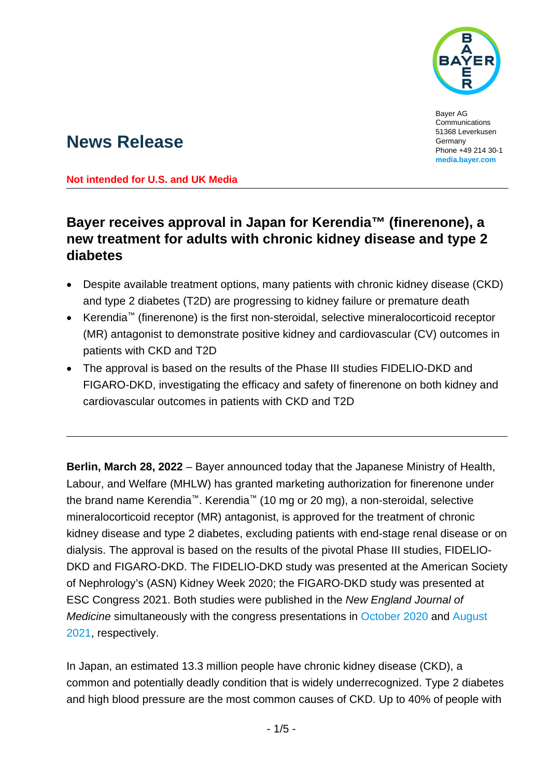

Bayer AG Communications 51368 Leverkusen Germany Phone +49 214 30-1 **[media.bayer.com](http://media.bayer.com/)**

# **News Release**

**Not intended for U.S. and UK Media**

## **Bayer receives approval in Japan for Kerendia™ (finerenone), a new treatment for adults with chronic kidney disease and type 2 diabetes**

- Despite available treatment options, many patients with chronic kidney disease (CKD) and type 2 diabetes (T2D) are progressing to kidney failure or premature death
- Kerendia™ (finerenone) is the first non-steroidal, selective mineralocorticoid receptor (MR) antagonist to demonstrate positive kidney and cardiovascular (CV) outcomes in patients with CKD and T2D
- The approval is based on the results of the Phase III studies FIDELIO-DKD and FIGARO-DKD, investigating the efficacy and safety of finerenone on both kidney and cardiovascular outcomes in patients with CKD and T2D

**Berlin, March 28, 2022** – Bayer announced today that the Japanese Ministry of Health, Labour, and Welfare (MHLW) has granted marketing authorization for finerenone under the brand name Kerendia™. Kerendia™ (10 mg or 20 mg), a non-steroidal, selective mineralocorticoid receptor (MR) antagonist, is approved for the treatment of chronic kidney disease and type 2 diabetes, excluding patients with end-stage renal disease or on dialysis. The approval is based on the results of the pivotal Phase III studies, FIDELIO-DKD and FIGARO-DKD. The FIDELIO-DKD study was presented at the American Society of Nephrology's (ASN) Kidney Week 2020; the FIGARO-DKD study was presented at ESC Congress 2021. Both studies were published in the *New England Journal of Medicine* simultaneously with the congress presentations in [October 2020](https://www.nejm.org/doi/full/10.1056/NEJMoa2025845) and [August](https://www.nejm.org/doi/full/10.1056/NEJMoa2110956)  [2021,](https://www.nejm.org/doi/full/10.1056/NEJMoa2110956) respectively.

In Japan, an estimated 13.3 million people have chronic kidney disease (CKD), a common and potentially deadly condition that is widely underrecognized. Type 2 diabetes and high blood pressure are the most common causes of CKD. Up to 40% of people with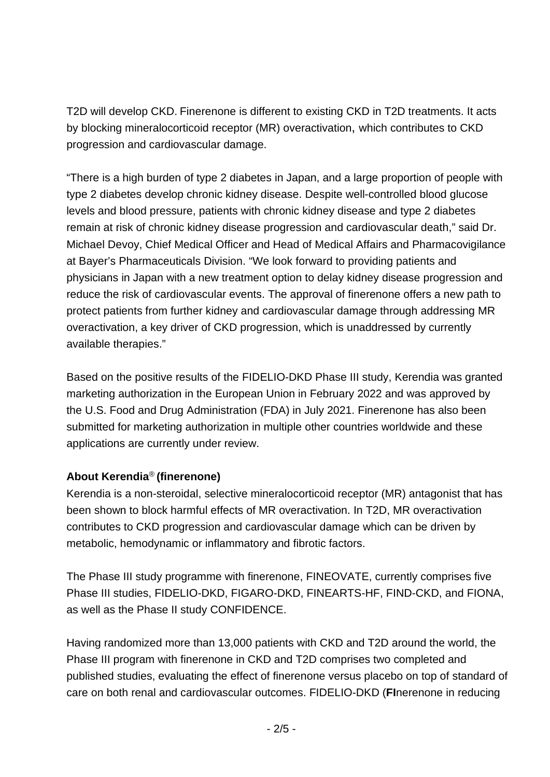T2D will develop CKD. Finerenone is different to existing CKD in T2D treatments. It acts by blocking mineralocorticoid receptor (MR) overactivation, which contributes to CKD progression and cardiovascular damage.

"There is a high burden of type 2 diabetes in Japan, and a large proportion of people with type 2 diabetes develop chronic kidney disease. Despite well-controlled blood glucose levels and blood pressure, patients with chronic kidney disease and type 2 diabetes remain at risk of chronic kidney disease progression and cardiovascular death," said Dr. Michael Devoy, Chief Medical Officer and Head of Medical Affairs and Pharmacovigilance at Bayer's Pharmaceuticals Division. "We look forward to providing patients and physicians in Japan with a new treatment option to delay kidney disease progression and reduce the risk of cardiovascular events. The approval of finerenone offers a new path to protect patients from further kidney and cardiovascular damage through addressing MR overactivation, a key driver of CKD progression, which is unaddressed by currently available therapies."

Based on the positive results of the FIDELIO-DKD Phase III study, Kerendia was granted marketing authorization in the European Union in February 2022 and was approved by the U.S. Food and Drug Administration (FDA) in July 2021. Finerenone has also been submitted for marketing authorization in multiple other countries worldwide and these applications are currently under review.

### **About Kerendia**® **(finerenone)**

Kerendia is a non-steroidal, selective mineralocorticoid receptor (MR) antagonist that has been shown to block harmful effects of MR overactivation. In T2D, MR overactivation contributes to CKD progression and cardiovascular damage which can be driven by metabolic, hemodynamic or inflammatory and fibrotic factors.

The Phase III study programme with finerenone, FINEOVATE, currently comprises five Phase III studies, FIDELIO-DKD, FIGARO-DKD, FINEARTS-HF, FIND-CKD, and FIONA, as well as the Phase II study CONFIDENCE.

Having randomized more than 13,000 patients with CKD and T2D around the world, the Phase III program with finerenone in CKD and T2D comprises two completed and published studies, evaluating the effect of finerenone versus placebo on top of standard of care on both renal and cardiovascular outcomes. FIDELIO-DKD (**FI**nerenone in reducing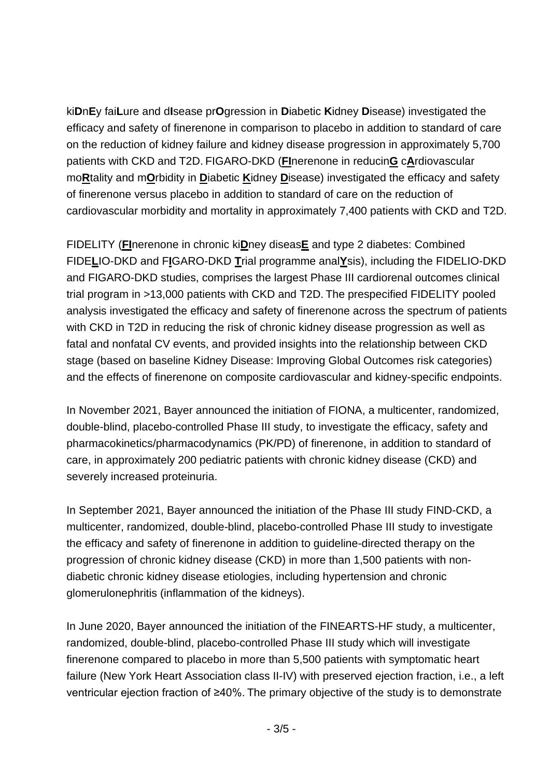ki**D**n**E**y fai**L**ure and d**I**sease pr**O**gression in **D**iabetic **K**idney **D**isease) investigated the efficacy and safety of finerenone in comparison to placebo in addition to standard of care on the reduction of kidney failure and kidney disease progression in approximately 5,700 patients with CKD and T2D. FIGARO-DKD (**FI**nerenone in reducin**G** c**A**rdiovascular mo**R**tality and m**O**rbidity in **D**iabetic **K**idney **D**isease) investigated the efficacy and safety of finerenone versus placebo in addition to standard of care on the reduction of cardiovascular morbidity and mortality in approximately 7,400 patients with CKD and T2D.

FIDELITY (**FI**nerenone in chronic ki**D**ney diseas**E** and type 2 diabetes: Combined FIDE**L**IO-DKD and F**I**GARO-DKD **T**rial programme anal**Y**sis), including the FIDELIO-DKD and FIGARO-DKD studies, comprises the largest Phase III cardiorenal outcomes clinical trial program in >13,000 patients with CKD and T2D. The prespecified FIDELITY pooled analysis investigated the efficacy and safety of finerenone across the spectrum of patients with CKD in T2D in reducing the risk of chronic kidney disease progression as well as fatal and nonfatal CV events, and provided insights into the relationship between CKD stage (based on baseline Kidney Disease: Improving Global Outcomes risk categories) and the effects of finerenone on composite cardiovascular and kidney-specific endpoints.

In November 2021, Bayer announced the initiation of FIONA, a multicenter, randomized, double-blind, placebo-controlled Phase III study, to investigate the efficacy, safety and pharmacokinetics/pharmacodynamics (PK/PD) of finerenone, in addition to standard of care, in approximately 200 pediatric patients with chronic kidney disease (CKD) and severely increased proteinuria.

In September 2021, Bayer announced the initiation of the Phase III study FIND-CKD, a multicenter, randomized, double-blind, placebo-controlled Phase III study to investigate the efficacy and safety of finerenone in addition to guideline-directed therapy on the progression of chronic kidney disease (CKD) in more than 1,500 patients with nondiabetic chronic kidney disease etiologies, including hypertension and chronic glomerulonephritis (inflammation of the kidneys).

In June 2020, Bayer announced the initiation of the FINEARTS-HF study, a multicenter, randomized, double-blind, placebo-controlled Phase III study which will investigate finerenone compared to placebo in more than 5,500 patients with symptomatic heart failure (New York Heart Association class II-IV) with preserved ejection fraction, i.e., a left ventricular ejection fraction of ≥40%. The primary objective of the study is to demonstrate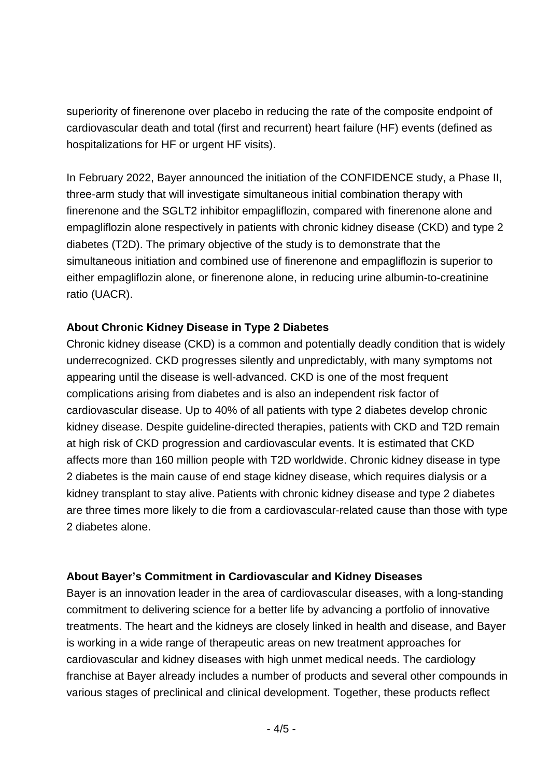superiority of finerenone over placebo in reducing the rate of the composite endpoint of cardiovascular death and total (first and recurrent) heart failure (HF) events (defined as hospitalizations for HF or urgent HF visits).

In February 2022, Bayer announced the initiation of the CONFIDENCE study, a Phase II, three-arm study that will investigate simultaneous initial combination therapy with finerenone and the SGLT2 inhibitor empagliflozin, compared with finerenone alone and empagliflozin alone respectively in patients with chronic kidney disease (CKD) and type 2 diabetes (T2D). The primary objective of the study is to demonstrate that the simultaneous initiation and combined use of finerenone and empagliflozin is superior to either empagliflozin alone, or finerenone alone, in reducing urine albumin-to-creatinine ratio (UACR).

#### **About Chronic Kidney Disease in Type 2 Diabetes**

Chronic kidney disease (CKD) is a common and potentially deadly condition that is widely underrecognized. CKD progresses silently and unpredictably, with many symptoms not appearing until the disease is well-advanced. CKD is one of the most frequent complications arising from diabetes and is also an independent risk factor of cardiovascular disease. Up to 40% of all patients with type 2 diabetes develop chronic kidney disease. Despite guideline-directed therapies, patients with CKD and T2D remain at high risk of CKD progression and cardiovascular events. It is estimated that CKD affects more than 160 million people with T2D worldwide. Chronic kidney disease in type 2 diabetes is the main cause of end stage kidney disease, which requires dialysis or a kidney transplant to stay alive.Patients with chronic kidney disease and type 2 diabetes are three times more likely to die from a cardiovascular-related cause than those with type 2 diabetes alone.

#### **About Bayer's Commitment in Cardiovascular and Kidney Diseases**

Bayer is an innovation leader in the area of cardiovascular diseases, with a long-standing commitment to delivering science for a better life by advancing a portfolio of innovative treatments. The heart and the kidneys are closely linked in health and disease, and Bayer is working in a wide range of therapeutic areas on new treatment approaches for cardiovascular and kidney diseases with high unmet medical needs. The cardiology franchise at Bayer already includes a number of products and several other compounds in various stages of preclinical and clinical development. Together, these products reflect